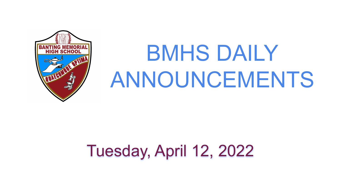

# BMHS DAILY ANNOUNCEMENTS

# Tuesday, April 12, 2022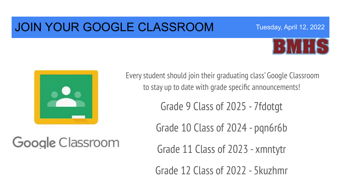## JOIN YOUR GOOGLE CLASSROOM



Tuesday, April 12, 2022



Google Classroom

Every student should join their graduating class' Google Classroom to stay up to date with grade specific announcements!

Grade 9 Class of 2025 - 7fdotgt

Grade 10 Class of 2024 - pqn6r6b

Grade 11 Class of 2023 - xmntytr

Grade 12 Class of 2022 - 5kuzhmr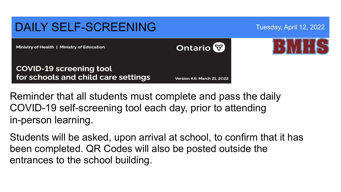

Reminder that all students must complete and pass the daily COVID-19 self-screening tool each day, prior to attending in-person learning.

Students will be asked, upon arrival at school, to confirm that it has been completed. QR Codes will also be posted outside the entrances to the school building.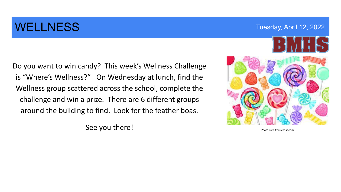## WELLNESS Tuesday, April 12, 2022

Do you want to win candy? This week's Wellness Challenge is "Where's Wellness?" On Wednesday at lunch, find the Wellness group scattered across the school, complete the challenge and win a prize. There are 6 different groups around the building to find. Look for the feather boas.

See you there!



Photo credit:pinterest.com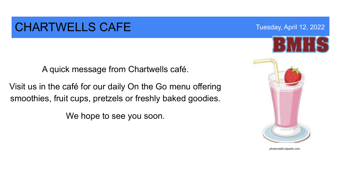#### CHARTWELLS CAFE THE THE THE THE TO TUESDAY, April 12, 2022

A quick message from Chartwells café.

Visit us in the café for our daily On the Go menu offering smoothies, fruit cups, pretzels or freshly baked goodies.

We hope to see you soon.



photocredit:clipartix.com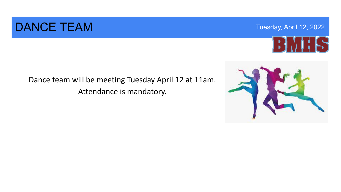#### **DANCE TEAM** Tuesday, April 12, 2022



#### Dance team will be meeting Tuesday April 12 at 11am. Attendance is mandatory.

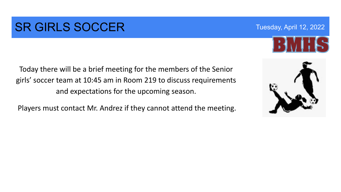#### SR GIRLS SOCCER Tuesday, April 12, 2022

Today there will be a brief meeting for the members of the Senior girls' soccer team at 10:45 am in Room 219 to discuss requirements and expectations for the upcoming season.

Players must contact Mr. Andrez if they cannot attend the meeting.



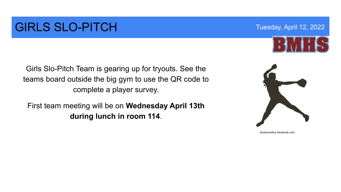#### GIRLS SLO-PITCH Tuesday, April 12, 2022

Girls Slo-Pitch Team is gearing up for tryouts. See the teams board outside the big gym to use the QR code to complete a player survey.

First team meeting will be on **Wednesday April 13th during lunch in room 114**.



photocredit:p.facebook.com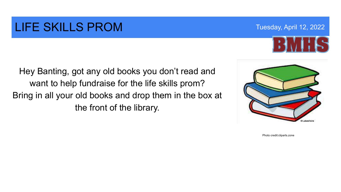## LIFE SKILLS PROM Tuesday, April 12, 2022

Hey Banting, got any old books you don't read and want to help fundraise for the life skills prom? Bring in all your old books and drop them in the box at the front of the library.



Photo credit:cliparts.zone

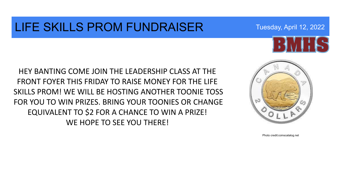#### LIFE SKILLS PROM FUNDRAISER Tuesday, April 12, 2022



HEY BANTING COME JOIN THE LEADERSHIP CLASS AT THE FRONT FOYER THIS FRIDAY TO RAISE MONEY FOR THE LIFE SKILLS PROM! WE WILL BE HOSTING ANOTHER TOONIE TOSS FOR YOU TO WIN PRIZES. BRING YOUR TOONIES OR CHANGE EQUIVALENT TO \$2 FOR A CHANCE TO WIN A PRIZE! WE HOPE TO SEE YOU THERE!



Photo credit:coinscatalog.net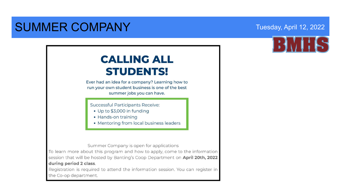#### SUMMER COMPANY Tuesday, April 12, 2022



#### **CALLING ALL STUDENTS!**

Ever had an idea for a company? Learning how to run your own student business is one of the best summer jobs you can have.

**Successful Participants Receive:** 

- Up to \$3,000 in funding
- Hands-on training
- Mentoring from local business leaders

Summer Company is open for applications

To learn more about this program and how to apply, come to the information session that will be hosted by Banting's Coop Department on April 20th, 2022 during period 2 class.

Registration is required to attend the information session. You can register in the Co-op department.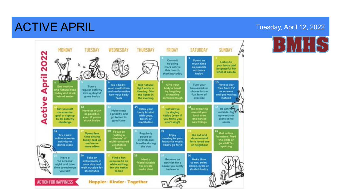# ACTIVE APRIL Tuesday, April 12, 2022